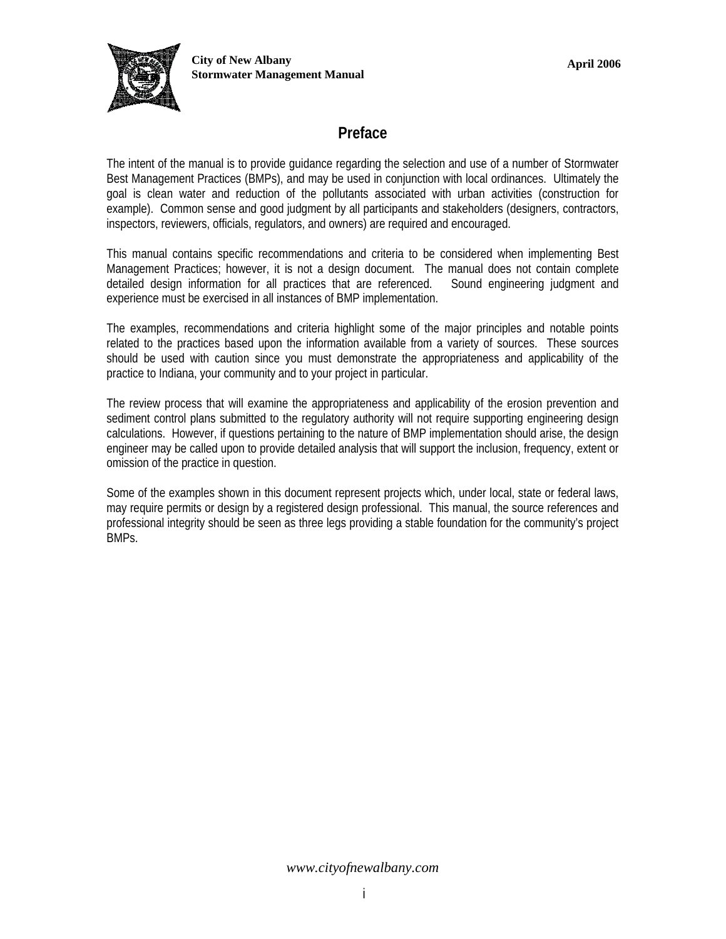

## **Preface**

The intent of the manual is to provide guidance regarding the selection and use of a number of Stormwater Best Management Practices (BMPs), and may be used in conjunction with local ordinances. Ultimately the goal is clean water and reduction of the pollutants associated with urban activities (construction for example). Common sense and good judgment by all participants and stakeholders (designers, contractors, inspectors, reviewers, officials, regulators, and owners) are required and encouraged.

This manual contains specific recommendations and criteria to be considered when implementing Best Management Practices; however, it is not a design document. The manual does not contain complete detailed design information for all practices that are referenced. Sound engineering judgment and experience must be exercised in all instances of BMP implementation.

The examples, recommendations and criteria highlight some of the major principles and notable points related to the practices based upon the information available from a variety of sources. These sources should be used with caution since you must demonstrate the appropriateness and applicability of the practice to Indiana, your community and to your project in particular.

The review process that will examine the appropriateness and applicability of the erosion prevention and sediment control plans submitted to the regulatory authority will not require supporting engineering design calculations. However, if questions pertaining to the nature of BMP implementation should arise, the design engineer may be called upon to provide detailed analysis that will support the inclusion, frequency, extent or omission of the practice in question.

Some of the examples shown in this document represent projects which, under local, state or federal laws, may require permits or design by a registered design professional. This manual, the source references and professional integrity should be seen as three legs providing a stable foundation for the community's project BMPs.

*www.cityofnewalbany.com*